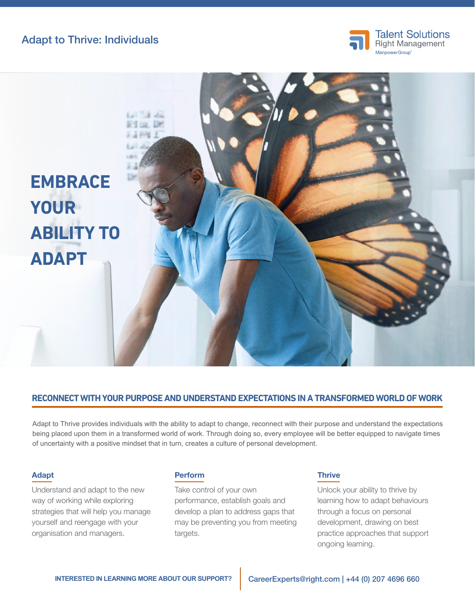Adapt to Thrive: Individuals





## **RECONNECT WITH YOUR PURPOSE AND UNDERSTAND EXPECTATIONS IN A TRANSFORMED WORLD OF WORK**

Adapt to Thrive provides individuals with the ability to adapt to change, reconnect with their purpose and understand the expectations being placed upon them in a transformed world of work. Through doing so, every employee will be better equipped to navigate times of uncertainty with a positive mindset that in turn, creates a culture of personal development.

#### Adapt

Understand and adapt to the new way of working while exploring strategies that will help you manage yourself and reengage with your organisation and managers.

## Perform

Take control of your own performance, establish goals and develop a plan to address gaps that may be preventing you from meeting targets.

## **Thrive**

Unlock your ability to thrive by learning how to adapt behaviours through a focus on personal development, drawing on best practice approaches that support ongoing learning.